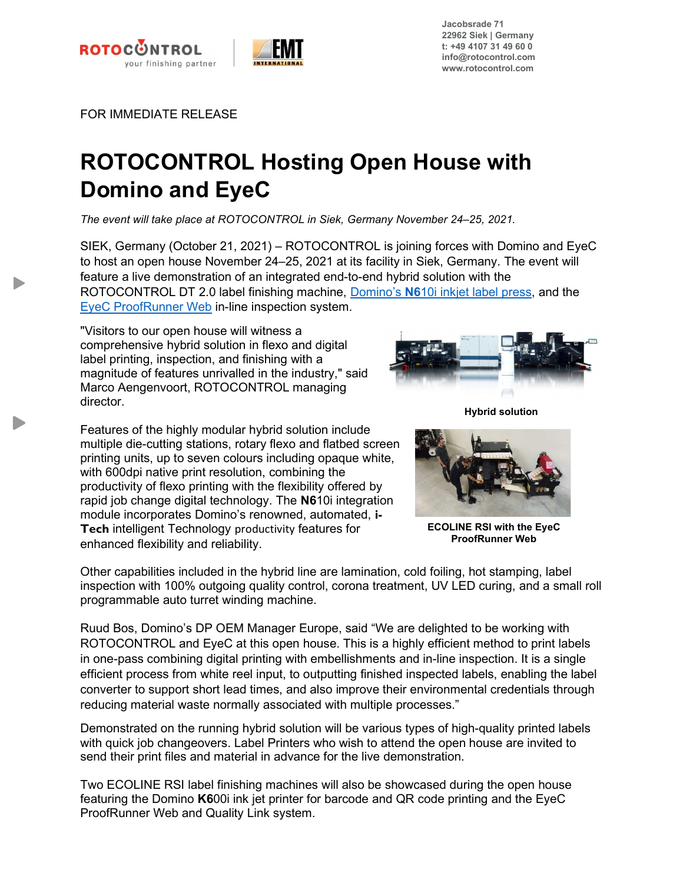



Jacobsrade 71 22962 Siek | Germany t: +49 4107 31 49 60 0 info@rotocontrol.com www.rotocontrol.com

FOR IMMEDIATE RELEASE

## ROTOCONTROL Hosting Open House with Domino and EyeC

The event will take place at ROTOCONTROL in Siek, Germany November 24–25, 2021.

SIEK, Germany (October 21, 2021) – ROTOCONTROL is joining forces with Domino and EyeC to host an open house November 24–25, 2021 at its facility in Siek, Germany. The event will feature a live demonstration of an integrated end-to-end hybrid solution with the ROTOCONTROL DT 2.0 label finishing machine, Domino's N610i inkjet label press, and the EyeC ProofRunner Web in-line inspection system.

"Visitors to our open house will witness a comprehensive hybrid solution in flexo and digital label printing, inspection, and finishing with a magnitude of features unrivalled in the industry," said Marco Aengenvoort, ROTOCONTROL managing director.

Features of the highly modular hybrid solution include multiple die-cutting stations, rotary flexo and flatbed screen printing units, up to seven colours including opaque white, with 600dpi native print resolution, combining the productivity of flexo printing with the flexibility offered by rapid job change digital technology. The N610i integration module incorporates Domino's renowned, automated, i-Tech intelligent Technology productivity features for enhanced flexibility and reliability.

Hybrid solution



ECOLINE RSI with the EyeC ProofRunner Web

Other capabilities included in the hybrid line are lamination, cold foiling, hot stamping, label inspection with 100% outgoing quality control, corona treatment, UV LED curing, and a small roll programmable auto turret winding machine.

Ruud Bos, Domino's DP OEM Manager Europe, said "We are delighted to be working with ROTOCONTROL and EyeC at this open house. This is a highly efficient method to print labels in one-pass combining digital printing with embellishments and in-line inspection. It is a single efficient process from white reel input, to outputting finished inspected labels, enabling the label converter to support short lead times, and also improve their environmental credentials through reducing material waste normally associated with multiple processes."

Demonstrated on the running hybrid solution will be various types of high-quality printed labels with quick job changeovers. Label Printers who wish to attend the open house are invited to send their print files and material in advance for the live demonstration.

Two ECOLINE RSI label finishing machines will also be showcased during the open house featuring the Domino K600i ink jet printer for barcode and QR code printing and the EyeC ProofRunner Web and Quality Link system.